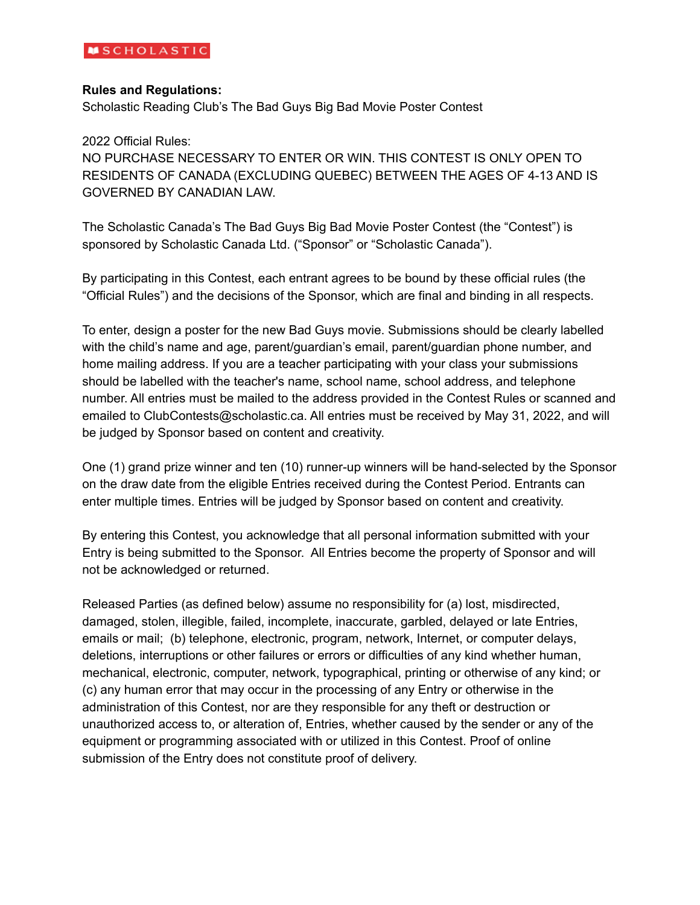### **Rules and Regulations:**

Scholastic Reading Club's The Bad Guys Big Bad Movie Poster Contest

2022 Official Rules:

NO PURCHASE NECESSARY TO ENTER OR WIN. THIS CONTEST IS ONLY OPEN TO RESIDENTS OF CANADA (EXCLUDING QUEBEC) BETWEEN THE AGES OF 4-13 AND IS GOVERNED BY CANADIAN LAW.

The Scholastic Canada's The Bad Guys Big Bad Movie Poster Contest (the "Contest") is sponsored by Scholastic Canada Ltd. ("Sponsor" or "Scholastic Canada").

By participating in this Contest, each entrant agrees to be bound by these official rules (the "Official Rules") and the decisions of the Sponsor, which are final and binding in all respects.

To enter, design a poster for the new Bad Guys movie. Submissions should be clearly labelled with the child's name and age, parent/guardian's email, parent/guardian phone number, and home mailing address. If you are a teacher participating with your class your submissions should be labelled with the teacher's name, school name, school address, and telephone number. All entries must be mailed to the address provided in the Contest Rules or scanned and emailed to ClubContests@scholastic.ca. All entries must be received by May 31, 2022, and will be judged by Sponsor based on content and creativity.

One (1) grand prize winner and ten (10) runner-up winners will be hand-selected by the Sponsor on the draw date from the eligible Entries received during the Contest Period. Entrants can enter multiple times. Entries will be judged by Sponsor based on content and creativity.

By entering this Contest, you acknowledge that all personal information submitted with your Entry is being submitted to the Sponsor. All Entries become the property of Sponsor and will not be acknowledged or returned.

Released Parties (as defined below) assume no responsibility for (a) lost, misdirected, damaged, stolen, illegible, failed, incomplete, inaccurate, garbled, delayed or late Entries, emails or mail; (b) telephone, electronic, program, network, Internet, or computer delays, deletions, interruptions or other failures or errors or difficulties of any kind whether human, mechanical, electronic, computer, network, typographical, printing or otherwise of any kind; or (c) any human error that may occur in the processing of any Entry or otherwise in the administration of this Contest, nor are they responsible for any theft or destruction or unauthorized access to, or alteration of, Entries, whether caused by the sender or any of the equipment or programming associated with or utilized in this Contest. Proof of online submission of the Entry does not constitute proof of delivery.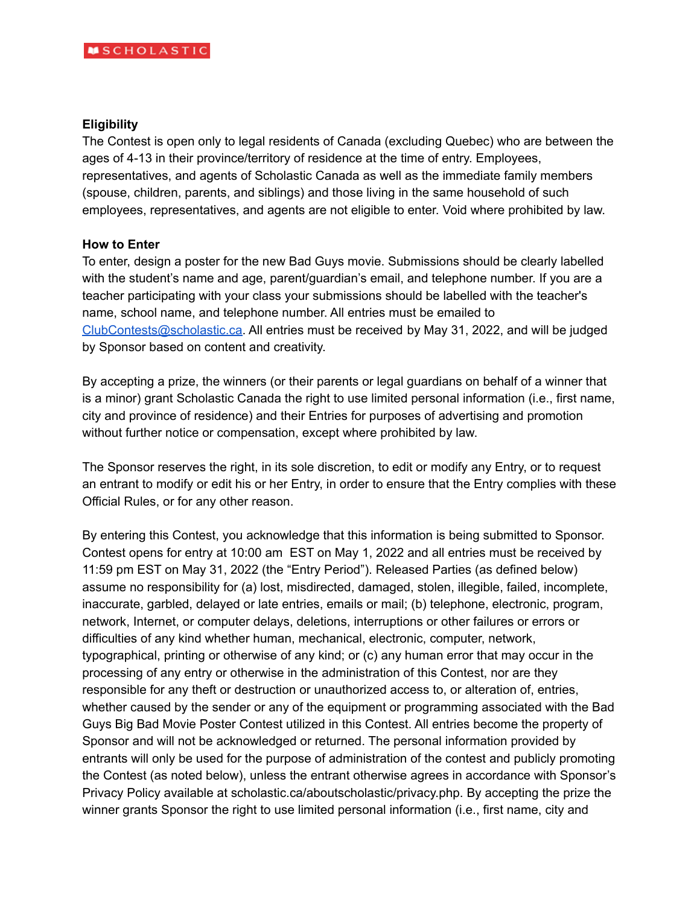### **Eligibility**

The Contest is open only to legal residents of Canada (excluding Quebec) who are between the ages of 4-13 in their province/territory of residence at the time of entry. Employees, representatives, and agents of Scholastic Canada as well as the immediate family members (spouse, children, parents, and siblings) and those living in the same household of such employees, representatives, and agents are not eligible to enter. Void where prohibited by law.

### **How to Enter**

To enter, design a poster for the new Bad Guys movie. Submissions should be clearly labelled with the student's name and age, parent/guardian's email, and telephone number. If you are a teacher participating with your class your submissions should be labelled with the teacher's name, school name, and telephone number. All entries must be emailed to [ClubContests@scholastic.ca](mailto:ClubContests@scholastic.ca). All entries must be received by May 31, 2022, and will be judged by Sponsor based on content and creativity.

By accepting a prize, the winners (or their parents or legal guardians on behalf of a winner that is a minor) grant Scholastic Canada the right to use limited personal information (i.e., first name, city and province of residence) and their Entries for purposes of advertising and promotion without further notice or compensation, except where prohibited by law.

The Sponsor reserves the right, in its sole discretion, to edit or modify any Entry, or to request an entrant to modify or edit his or her Entry, in order to ensure that the Entry complies with these Official Rules, or for any other reason.

By entering this Contest, you acknowledge that this information is being submitted to Sponsor. Contest opens for entry at 10:00 am EST on May 1, 2022 and all entries must be received by 11:59 pm EST on May 31, 2022 (the "Entry Period"). Released Parties (as defined below) assume no responsibility for (a) lost, misdirected, damaged, stolen, illegible, failed, incomplete, inaccurate, garbled, delayed or late entries, emails or mail; (b) telephone, electronic, program, network, Internet, or computer delays, deletions, interruptions or other failures or errors or difficulties of any kind whether human, mechanical, electronic, computer, network, typographical, printing or otherwise of any kind; or (c) any human error that may occur in the processing of any entry or otherwise in the administration of this Contest, nor are they responsible for any theft or destruction or unauthorized access to, or alteration of, entries, whether caused by the sender or any of the equipment or programming associated with the Bad Guys Big Bad Movie Poster Contest utilized in this Contest. All entries become the property of Sponsor and will not be acknowledged or returned. The personal information provided by entrants will only be used for the purpose of administration of the contest and publicly promoting the Contest (as noted below), unless the entrant otherwise agrees in accordance with Sponsor's Privacy Policy available at scholastic.ca/aboutscholastic/privacy.php. By accepting the prize the winner grants Sponsor the right to use limited personal information (i.e., first name, city and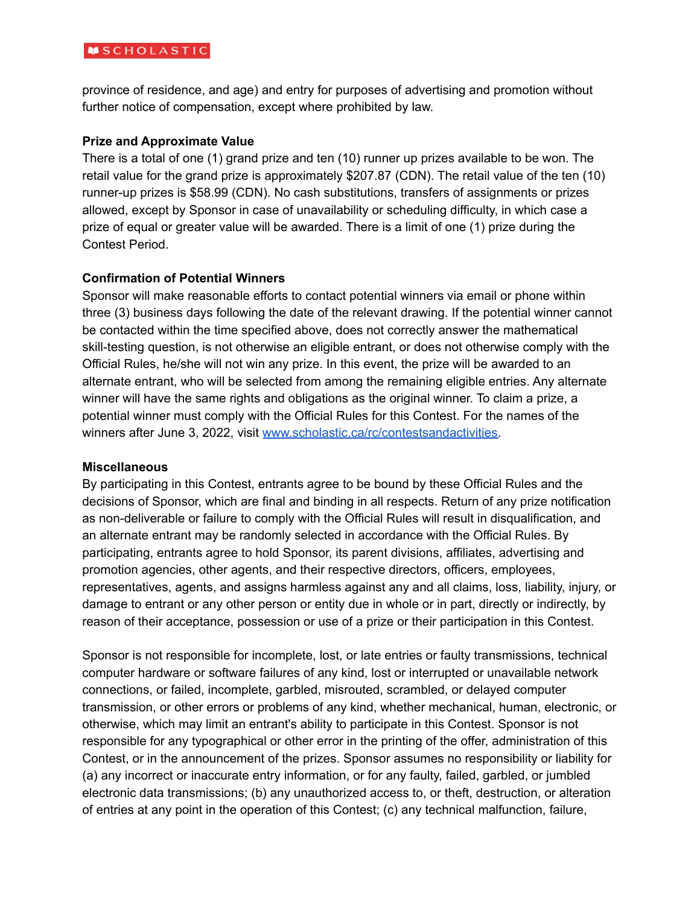# **MSCHOLASTIC**

province of residence, and age) and entry for purposes of advertising and promotion without further notice of compensation, except where prohibited by law.

### **Prize and Approximate Value**

There is a total of one (1) grand prize and ten (10) runner up prizes available to be won. The retail value for the grand prize is approximately \$207.87 (CDN). The retail value of the ten (10) runner-up prizes is \$58.99 (CDN). No cash substitutions, transfers of assignments or prizes allowed, except by Sponsor in case of unavailability or scheduling difficulty, in which case a prize of equal or greater value will be awarded. There is a limit of one (1) prize during the Contest Period.

# **Confirmation of Potential Winners**

Sponsor will make reasonable efforts to contact potential winners via email or phone within three (3) business days following the date of the relevant drawing. If the potential winner cannot be contacted within the time specified above, does not correctly answer the mathematical skill-testing question, is not otherwise an eligible entrant, or does not otherwise comply with the Official Rules, he/she will not win any prize. In this event, the prize will be awarded to an alternate entrant, who will be selected from among the remaining eligible entries. Any alternate winner will have the same rights and obligations as the original winner. To claim a prize, a potential winner must comply with the Official Rules for this Contest. For the names of the winners after June 3, 2022, visit [www.scholastic.ca/rc/contestsandactivities.](http://www.scholastic.ca/rc/contestsandactivities)

#### **Miscellaneous**

By participating in this Contest, entrants agree to be bound by these Official Rules and the decisions of Sponsor, which are final and binding in all respects. Return of any prize notification as non-deliverable or failure to comply with the Official Rules will result in disqualification, and an alternate entrant may be randomly selected in accordance with the Official Rules. By participating, entrants agree to hold Sponsor, its parent divisions, affiliates, advertising and promotion agencies, other agents, and their respective directors, officers, employees, representatives, agents, and assigns harmless against any and all claims, loss, liability, injury, or damage to entrant or any other person or entity due in whole or in part, directly or indirectly, by reason of their acceptance, possession or use of a prize or their participation in this Contest.

Sponsor is not responsible for incomplete, lost, or late entries or faulty transmissions, technical computer hardware or software failures of any kind, lost or interrupted or unavailable network connections, or failed, incomplete, garbled, misrouted, scrambled, or delayed computer transmission, or other errors or problems of any kind, whether mechanical, human, electronic, or otherwise, which may limit an entrant's ability to participate in this Contest. Sponsor is not responsible for any typographical or other error in the printing of the offer, administration of this Contest, or in the announcement of the prizes. Sponsor assumes no responsibility or liability for (a) any incorrect or inaccurate entry information, or for any faulty, failed, garbled, or jumbled electronic data transmissions; (b) any unauthorized access to, or theft, destruction, or alteration of entries at any point in the operation of this Contest; (c) any technical malfunction, failure,